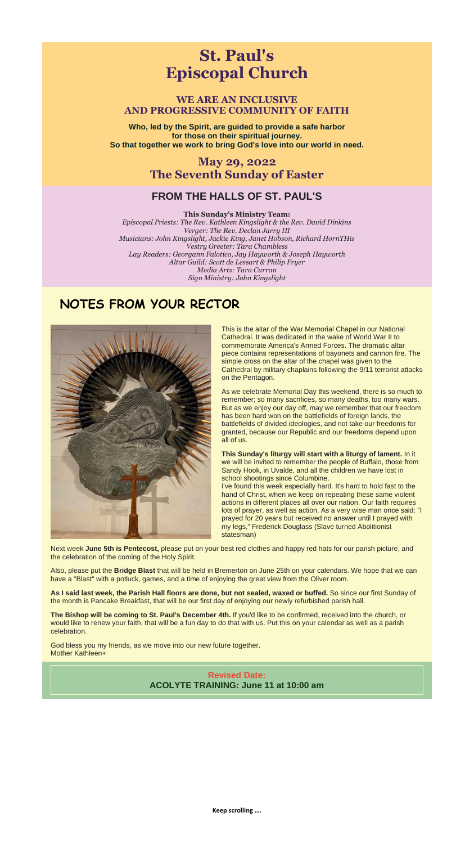**Keep scrolling ….**

# **St. Paul's Episcopal Church**

**WE ARE AN INCLUSIVE AND PROGRESSIVE COMMUNITY OF FAITH**

**Who, led by the Spirit, are guided to provide a safe harbor for those on their spiritual journey. So that together we work to bring God's love into our world in need.**

### **May 29, 2022 The Seventh Sunday of Easter**

#### **FROM THE HALLS OF ST. PAUL'S**

#### **This Sunday's Ministry Team:**

*Episcopal Priests: The Rev. Kathleen Kingslight & the Rev. David Dinkins Verger: The Rev. Declan Jarry III Musicians: John Kingslight, Jackie King, Janet Hobson, Richard HornTHis Vestry Greeter: Tara Chambless Lay Readers: Georgann Falotico, Jay Hayworth & Joseph Hayworth Altar Guild: Scott de Lessart & Philip Fryer Media Arts: Tara Curran Sign Ministry: John Kingslight*

## **NOTES FROM YOUR RECTOR**



This is the altar of the War Memorial Chapel in our National Cathedral. It was dedicated in the wake of World War II to commemorate America's Armed Forces. The dramatic altar piece contains representations of bayonets and cannon fire. The simple cross on the altar of the chapel was given to the Cathedral by military chaplains following the 9/11 terrorist attacks on the Pentagon.

As we celebrate Memorial Day this weekend, there is so much to remember; so many sacrifices, so many deaths, too many wars. But as we enjoy our day off, may we remember that our freedom has been hard won on the battlefields of foreign lands, the battlefields of divided ideologies, and not take our freedoms for granted, because our Republic and our freedoms depend upon all of us.

**This Sunday's liturgy will start with a liturgy of lament.** In it we will be invited to remember the people of Buffalo, those from Sandy Hook, in Uvalde, and all the children we have lost in school shootings since Columbine.

I've found this week especially hard. It's hard to hold fast to the hand of Christ, when we keep on repeating these same violent actions in different places all over our nation. Our faith requires lots of prayer, as well as action. As a very wise man once said: "I prayed for 20 years but received no answer until I prayed with

my legs," Frederick Douglass (Slave turned Abolitionist statesman)

Next week **June 5th is Pentecost,** please put on your best red clothes and happy red hats for our parish picture, and the celebration of the coming of the Holy Spirit.

Also, please put the **Bridge Blast** that will be held in Bremerton on June 25th on your calendars. We hope that we can have a "Blast" with a potluck, games, and a time of enjoying the great view from the Oliver room.

**As I said last week, the Parish Hall floors are done, but not sealed, waxed or buffed.** So since our first Sunday of the month is Pancake Breakfast, that will be our first day of enjoying our newly refurbished parish hall.

**The Bishop will be coming to St. Paul's December 4th.** If you'd like to be confirmed, received into the church, or would like to renew your faith, that will be a fun day to do that with us. Put this on your calendar as well as a parish celebration.

God bless you my friends, as we move into our new future together. Mother Kathleen+

> **Revised Date: ACOLYTE TRAINING: June 11 at 10:00 am**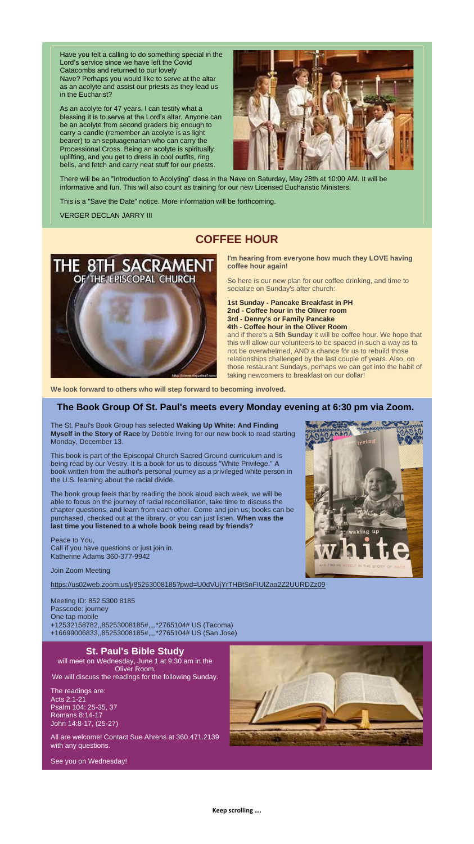**Keep scrolling ….**

Have you felt a calling to do something special in the Lord's service since we have left the Covid Catacombs and returned to our lovely Nave? Perhaps you would like to serve at the altar as an acolyte and assist our priests as they lead us in the Eucharist?

As an acolyte for 47 years, I can testify what a blessing it is to serve at the Lord's altar. Anyone can be an acolyte from second graders big enough to carry a candle (remember an acolyte is as light bearer) to an septuagenarian who can carry the Processional Cross. Being an acolyte is spiritually uplifting, and you get to dress in cool outfits, ring bells, and fetch and carry neat stuff for our priests.



There will be an "Introduction to Acolyting" class in the Nave on Saturday, May 28th at 10:00 AM. It will be informative and fun. This will also count as training for our new Licensed Eucharistic Ministers.

This is a "Save the Date" notice. More information will be forthcoming.

VERGER DECLAN JARRY III

## **COFFEE HOUR**



**I'm hearing from everyone how much they LOVE having coffee hour again!**

So here is our new plan for our coffee drinking, and time to socialize on Sunday's after church:

**1st Sunday - Pancake Breakfast in PH 2nd - Coffee hour in the Oliver room 3rd - Denny's or Family Pancake 4th - Coffee hour in the Oliver Room**

and if there's a **5th Sunday** it will be coffee hour. We hope that this will allow our volunteers to be spaced in such a way as to not be overwhelmed, AND a chance for us to rebuild those relationships challenged by the last couple of years. Also, on those restaurant Sundays, perhaps we can get into the habit of taking newcomers to breakfast on our dollar!

will meet on Wednesday, June 1 at 9:30 am in the Oliver Room. We will discuss the readings for the following Sunday.

**We look forward to others who will step forward to becoming involved.**

#### **The Book Group Of St. Paul's meets every Monday evening at 6:30 pm via Zoom.**

The St. Paul's Book Group has selected **Waking Up White: And Finding Myself in the Story of Race** by Debbie Irving for our new book to read starting Monday, December 13.

This book is part of the Episcopal Church Sacred Ground curriculum and is being read by our Vestry. It is a book for us to discuss "White Privilege." A book written from the author's personal journey as a privileged white person in the U.S. learning about the racial divide.

The book group feels that by reading the book aloud each week, we will be able to focus on the journey of racial reconciliation, take time to discuss the chapter questions, and learn from each other. Come and join us; books can be purchased, checked out at the library, or you can just listen. **When was the last time you listened to a whole book being read by friends?**



Peace to You, Call if you have questions or just join in. Katherine Adams 360-377-9942

Join Zoom Meeting

[https://us02web.zoom.us/j/85253008185?pwd=U0dVUjYrTHBtSnFIUlZaa2Z2UURDZz09](https://r20.rs6.net/tn.jsp?f=001smPzftrDGqcFRwaa3NJ8_3k9u2w3tubMRFVwYnM3vX0lTt90D1hyGDMbKUJMpPminrIIA9TX5u7W22w1_dPhhygQmFSsqAK4glJp14TsdLziTjWnuJHYmGVkVakuUKObIA0m_Af7K2qX6aaHH_oSx2NFVVt1oB8shVNdqI0lvm4P0Q5oQz__DDy-7nbvWjhdmmMVCs1H48XeSOo4J-1-tXOc2m24IfNU&c=Sz6pXFn8J9b-FcadEvElUioJ7YKByX6LkgUX8vIvaynQKKWnWSo_5g==&ch=O0Liy_TZjI0pcEB5f8NNIQC8AwgqnJfQ7KROS-Cl7LqLsJCoXvwMsQ==)

Meeting ID: 852 5300 8185 Passcode: journey One tap mobile +12532158782,,85253008185#,,,,\*2765104# US (Tacoma) +16699006833,,85253008185#,,,,\*2765104# US (San Jose)

#### **St. Paul's Bible Study**

The readings are: Acts 2:1-21 Psalm 104: 25-35, 37 Romans 8:14-17 John 14:8-17, (25-27)

All are welcome! Contact Sue Ahrens at 360.471.2139 with any questions.



See you on Wednesday!